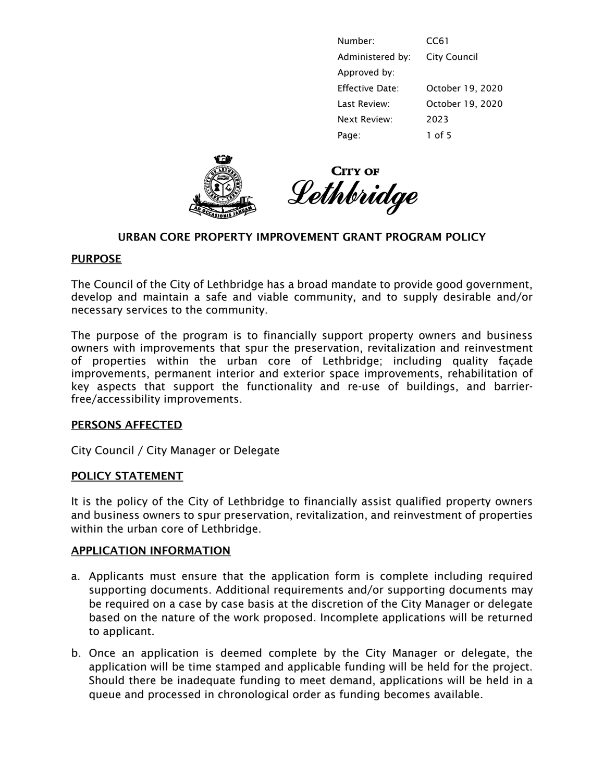| Number:          | CC61                |
|------------------|---------------------|
| Administered by: | <b>City Council</b> |
| Approved by:     |                     |
| Effective Date:  | October 19, 2020    |
| Last Review:     | October 19, 2020    |
| Next Review:     | 2023                |
| Page:            | $1$ of 5            |





### URBAN CORE PROPERTY IMPROVEMENT GRANT PROGRAM POLICY

#### PURPOSE

The Council of the City of Lethbridge has a broad mandate to provide good government, develop and maintain a safe and viable community, and to supply desirable and/or necessary services to the community.

The purpose of the program is to financially support property owners and business owners with improvements that spur the preservation, revitalization and reinvestment of properties within the urban core of Lethbridge; including quality façade improvements, permanent interior and exterior space improvements, rehabilitation of key aspects that support the functionality and re-use of buildings, and barrierfree/accessibility improvements.

### PERSONS AFFECTED

City Council / City Manager or Delegate

### POLICY STATEMENT

It is the policy of the City of Lethbridge to financially assist qualified property owners and business owners to spur preservation, revitalization, and reinvestment of properties within the urban core of Lethbridge.

### APPLICATION INFORMATION

- a. Applicants must ensure that the application form is complete including required supporting documents. Additional requirements and/or supporting documents may be required on a case by case basis at the discretion of the City Manager or delegate based on the nature of the work proposed. Incomplete applications will be returned to applicant.
- b. Once an application is deemed complete by the City Manager or delegate, the application will be time stamped and applicable funding will be held for the project. Should there be inadequate funding to meet demand, applications will be held in a queue and processed in chronological order as funding becomes available.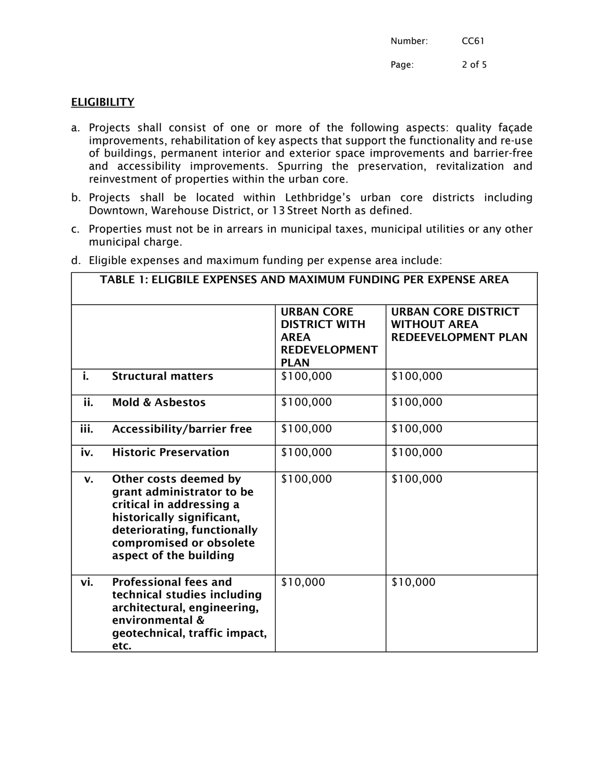Page: 2 of 5

# **ELIGIBILITY**

- a. Projects shall consist of one or more of the following aspects: quality façade improvements, rehabilitation of key aspects that support the functionality and re-use of buildings, permanent interior and exterior space improvements and barrier-free and accessibility improvements. Spurring the preservation, revitalization and reinvestment of properties within the urban core.
- b. Projects shall be located within Lethbridge's urban core districts including Downtown, Warehouse District, or 13 Street North as defined.
- c. Properties must not be in arrears in municipal taxes, municipal utilities or any other municipal charge.

| TABLE 1: ELIGBILE EXPENSES AND MAXIMUM FUNDING PER EXPENSE AREA |                                                                                                                                                                                                 |                                                                                                 |                                                                                 |  |
|-----------------------------------------------------------------|-------------------------------------------------------------------------------------------------------------------------------------------------------------------------------------------------|-------------------------------------------------------------------------------------------------|---------------------------------------------------------------------------------|--|
|                                                                 |                                                                                                                                                                                                 | <b>URBAN CORE</b><br><b>DISTRICT WITH</b><br><b>AREA</b><br><b>REDEVELOPMENT</b><br><b>PLAN</b> | <b>URBAN CORE DISTRICT</b><br><b>WITHOUT AREA</b><br><b>REDEEVELOPMENT PLAN</b> |  |
| i.                                                              | <b>Structural matters</b>                                                                                                                                                                       | \$100,000                                                                                       | \$100,000                                                                       |  |
| ii.                                                             | <b>Mold &amp; Asbestos</b>                                                                                                                                                                      | \$100,000                                                                                       | \$100,000                                                                       |  |
| iii.                                                            | <b>Accessibility/barrier free</b>                                                                                                                                                               | \$100,000                                                                                       | \$100,000                                                                       |  |
| iv.                                                             | <b>Historic Preservation</b>                                                                                                                                                                    | \$100,000                                                                                       | \$100,000                                                                       |  |
| $\mathbf{V}$ .                                                  | Other costs deemed by<br>grant administrator to be<br>critical in addressing a<br>historically significant,<br>deteriorating, functionally<br>compromised or obsolete<br>aspect of the building | \$100,000                                                                                       | \$100,000                                                                       |  |
| vi.                                                             | <b>Professional fees and</b><br>technical studies including<br>architectural, engineering,<br>environmental &<br>geotechnical, traffic impact,<br>etc.                                          | \$10,000                                                                                        | \$10,000                                                                        |  |

d. Eligible expenses and maximum funding per expense area include: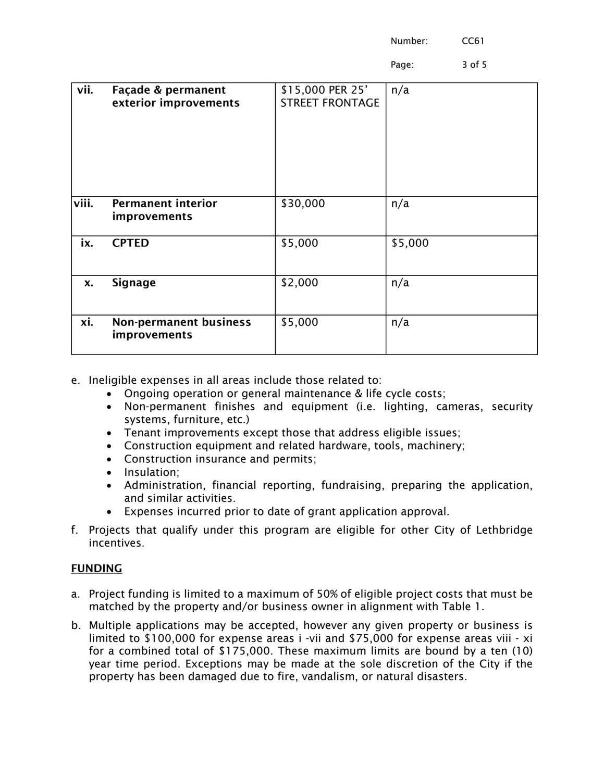Page: 3 of 5

| vii.      | Façade & permanent<br>exterior improvements   | \$15,000 PER 25'<br><b>STREET FRONTAGE</b> | n/a     |
|-----------|-----------------------------------------------|--------------------------------------------|---------|
| viii.     | <b>Permanent interior</b><br>improvements     | \$30,000                                   | n/a     |
| ix.       | <b>CPTED</b>                                  | \$5,000                                    | \$5,000 |
| <b>x.</b> | <b>Signage</b>                                | \$2,000                                    | n/a     |
| xi.       | <b>Non-permanent business</b><br>improvements | \$5,000                                    | n/a     |

- e. Ineligible expenses in all areas include those related to:
	- Ongoing operation or general maintenance & life cycle costs;
	- Non-permanent finishes and equipment (i.e. lighting, cameras, security systems, furniture, etc.)
	- Tenant improvements except those that address eligible issues;
	- Construction equipment and related hardware, tools, machinery;
	- Construction insurance and permits;
	- Insulation;
	- Administration, financial reporting, fundraising, preparing the application, and similar activities.
	- Expenses incurred prior to date of grant application approval.
- f. Projects that qualify under this program are eligible for other City of Lethbridge incentives.

### FUNDING

- a. Project funding is limited to a maximum of 50% of eligible project costs that must be matched by the property and/or business owner in alignment with Table 1.
- b. Multiple applications may be accepted, however any given property or business is limited to \$100,000 for expense areas i -vii and \$75,000 for expense areas viii - xi for a combined total of \$175,000. These maximum limits are bound by a ten (10) year time period. Exceptions may be made at the sole discretion of the City if the property has been damaged due to fire, vandalism, or natural disasters.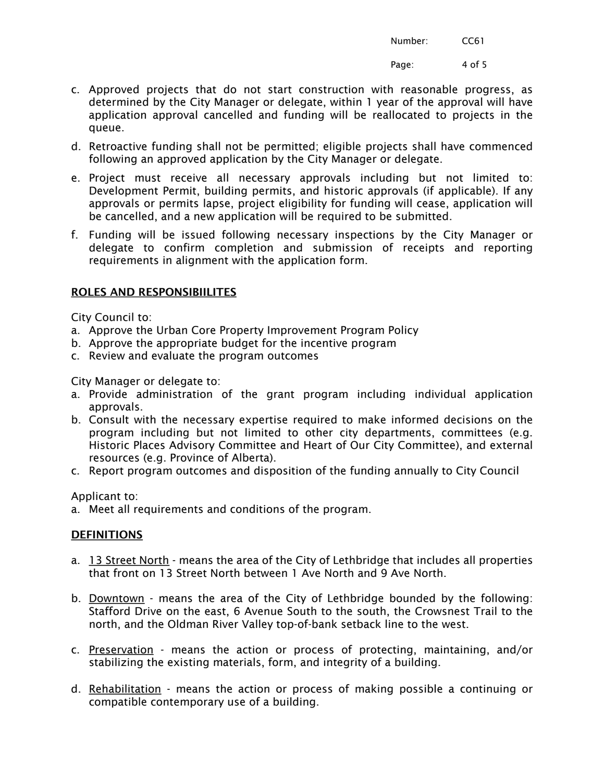Page: 4 of 5

- c. Approved projects that do not start construction with reasonable progress, as determined by the City Manager or delegate, within 1 year of the approval will have application approval cancelled and funding will be reallocated to projects in the queue.
- d. Retroactive funding shall not be permitted; eligible projects shall have commenced following an approved application by the City Manager or delegate.
- e. Project must receive all necessary approvals including but not limited to: Development Permit, building permits, and historic approvals (if applicable). If any approvals or permits lapse, project eligibility for funding will cease, application will be cancelled, and a new application will be required to be submitted.
- f. Funding will be issued following necessary inspections by the City Manager or delegate to confirm completion and submission of receipts and reporting requirements in alignment with the application form.

# ROLES AND RESPONSIBIILITES

City Council to:

- a. Approve the Urban Core Property Improvement Program Policy
- b. Approve the appropriate budget for the incentive program
- c. Review and evaluate the program outcomes

City Manager or delegate to:

- a. Provide administration of the grant program including individual application approvals.
- b. Consult with the necessary expertise required to make informed decisions on the program including but not limited to other city departments, committees (e.g. Historic Places Advisory Committee and Heart of Our City Committee), and external resources (e.g. Province of Alberta).
- c. Report program outcomes and disposition of the funding annually to City Council

Applicant to:

a. Meet all requirements and conditions of the program.

### **DEFINITIONS**

- a. 13 Street North means the area of the City of Lethbridge that includes all properties that front on 13 Street North between 1 Ave North and 9 Ave North.
- b. Downtown means the area of the City of Lethbridge bounded by the following: Stafford Drive on the east, 6 Avenue South to the south, the Crowsnest Trail to the north, and the Oldman River Valley top-of-bank setback line to the west.
- c. Preservation means the action or process of protecting, maintaining, and/or stabilizing the existing materials, form, and integrity of a building.
- d. Rehabilitation means the action or process of making possible a continuing or compatible contemporary use of a building.